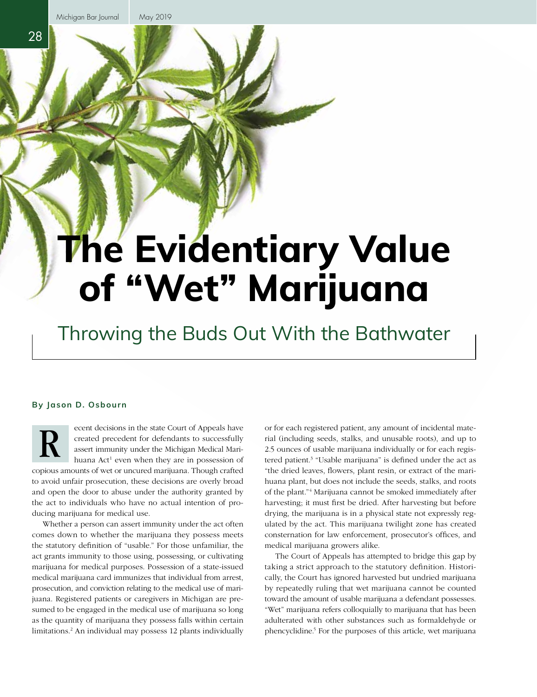28

# **The Evidentiary Value of "Wet" Marijuana**

## Throwing the Buds Out With the Bathwater

#### **By Jason D. Osbourn**

ecent decisions in the state Court of Appeals have created precedent for defendants to successfully assert immunity under the Michigan Medical Marihuana Act<sup>1</sup> even when they are in possession of copious amounts of wet or uncured marijuana. Though crafted to avoid unfair prosecution, these decisions are overly broad R

and open the door to abuse under the authority granted by the act to individuals who have no actual intention of producing marijuana for medical use.

Whether a person can assert immunity under the act often comes down to whether the marijuana they possess meets the statutory definition of "usable." For those unfamiliar, the act grants immunity to those using, possessing, or cultivating marijuana for medical purposes. Possession of a state-issued medical marijuana card immunizes that individual from arrest, prosecution, and conviction relating to the medical use of marijuana. Registered patients or caregivers in Michigan are presumed to be engaged in the medical use of marijuana so long as the quantity of marijuana they possess falls within certain limitations.2 An individual may possess 12 plants individually or for each registered patient, any amount of incidental material (including seeds, stalks, and unusable roots), and up to 2.5 ounces of usable marijuana individually or for each registered patient.3 "Usable marijuana" is defined under the act as "the dried leaves, flowers, plant resin, or extract of the marihuana plant, but does not include the seeds, stalks, and roots of the plant."4 Marijuana cannot be smoked immediately after harvesting; it must first be dried. After harvesting but before drying, the marijuana is in a physical state not expressly regulated by the act. This marijuana twilight zone has created consternation for law enforcement, prosecutor's offices, and medical marijuana growers alike.

The Court of Appeals has attempted to bridge this gap by taking a strict approach to the statutory definition. Historically, the Court has ignored harvested but undried marijuana by repeatedly ruling that wet marijuana cannot be counted toward the amount of usable marijuana a defendant possesses. "Wet" marijuana refers colloquially to marijuana that has been adulterated with other substances such as formaldehyde or phencyclidine.<sup>5</sup> For the purposes of this article, wet marijuana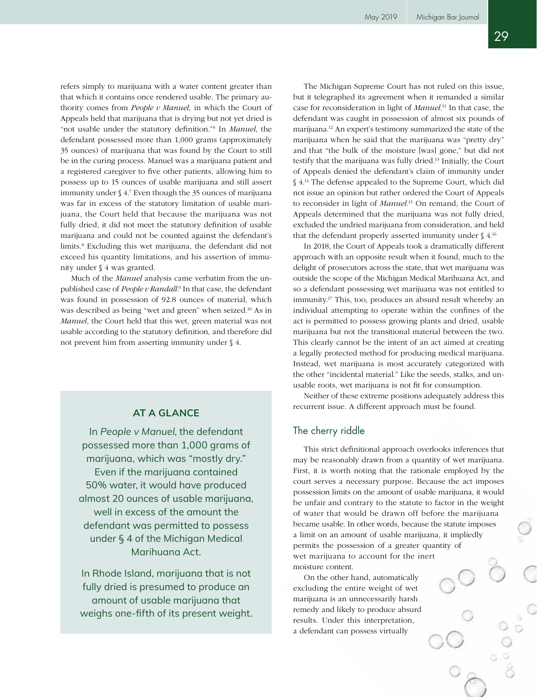refers simply to marijuana with a water content greater than that which it contains once rendered usable. The primary authority comes from *People v Manuel*, in which the Court of Appeals held that marijuana that is drying but not yet dried is "not usable under the statutory definition."6 In *Manuel*, the defendant possessed more than 1,000 grams (approximately 35 ounces) of marijuana that was found by the Court to still be in the curing process. Manuel was a marijuana patient and a registered caregiver to five other patients, allowing him to possess up to 15 ounces of usable marijuana and still assert immunity under § 4.7 Even though the 35 ounces of marijuana was far in excess of the statutory limitation of usable marijuana, the Court held that because the marijuana was not fully dried, it did not meet the statutory definition of usable marijuana and could not be counted against the defendant's limits.<sup>8</sup> Excluding this wet marijuana, the defendant did not exceed his quantity limitations, and his assertion of immunity under § 4 was granted.

Much of the *Manuel* analysis came verbatim from the unpublished case of *People v Randall*. 9 In that case, the defendant was found in possession of 92.8 ounces of material, which was described as being "wet and green" when seized.<sup>10</sup> As in *Manuel*, the Court held that this wet, green material was not usable according to the statutory definition, and therefore did not prevent him from asserting immunity under § 4.

### **AT A GLANCE**

In *People v Manuel*, the defendant possessed more than 1,000 grams of marijuana, which was "mostly dry." Even if the marijuana contained 50% water, it would have produced almost 20 ounces of usable marijuana, well in excess of the amount the defendant was permitted to possess under § 4 of the Michigan Medical Marihuana Act.

In Rhode Island, marijuana that is not fully dried is presumed to produce an amount of usable marijuana that weighs one-fifth of its present weight.

The Michigan Supreme Court has not ruled on this issue, but it telegraphed its agreement when it remanded a similar case for reconsideration in light of *Manuel*. 11 In that case, the defendant was caught in possession of almost six pounds of marijuana.12 An expert's testimony summarized the state of the marijuana when he said that the marijuana was "pretty dry" and that "the bulk of the moisture [was] gone," but did not testify that the marijuana was fully dried.13 Initially, the Court of Appeals denied the defendant's claim of immunity under § 4.<sup>14</sup> The defense appealed to the Supreme Court, which did not issue an opinion but rather ordered the Court of Appeals to reconsider in light of *Manuel*. 15 On remand, the Court of Appeals determined that the marijuana was not fully dried, excluded the undried marijuana from consideration, and held that the defendant properly asserted immunity under  $\S$  4.<sup>16</sup>

In 2018, the Court of Appeals took a dramatically different approach with an opposite result when it found, much to the delight of prosecutors across the state, that wet marijuana was outside the scope of the Michigan Medical Marihuana Act, and so a defendant possessing wet marijuana was not entitled to immunity.17 This, too, produces an absurd result whereby an individual attempting to operate within the confines of the act is permitted to possess growing plants and dried, usable marijuana but not the transitional material between the two. This clearly cannot be the intent of an act aimed at creating a legally protected method for producing medical marijuana. Instead, wet marijuana is most accurately categorized with the other "incidental material." Like the seeds, stalks, and unusable roots, wet marijuana is not fit for consumption.

Neither of these extreme positions adequately address this recurrent issue. A different approach must be found.

#### The cherry riddle

This strict definitional approach overlooks inferences that may be reasonably drawn from a quantity of wet marijuana. First, it is worth noting that the rationale employed by the court serves a necessary purpose. Because the act imposes possession limits on the amount of usable marijuana, it would be unfair and contrary to the statute to factor in the weight of water that would be drawn off before the marijuana became usable. In other words, because the statute imposes a limit on an amount of usable marijuana, it impliedly permits the possession of a greater quantity of wet marijuana to account for the inert moisture content.

On the other hand, automatically excluding the entire weight of wet marijuana is an unnecessarily harsh remedy and likely to produce absurd results. Under this interpretation, a defendant can possess virtually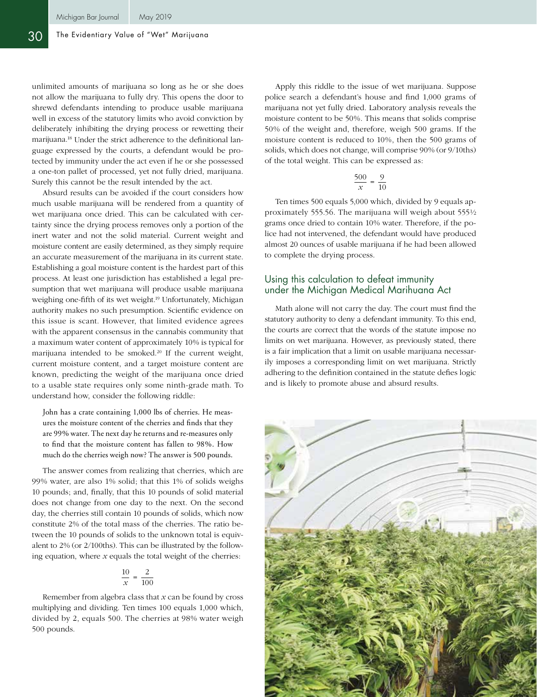unlimited amounts of marijuana so long as he or she does not allow the marijuana to fully dry. This opens the door to shrewd defendants intending to produce usable marijuana well in excess of the statutory limits who avoid conviction by deliberately inhibiting the drying process or rewetting their marijuana.18 Under the strict adherence to the definitional language expressed by the courts, a defendant would be protected by immunity under the act even if he or she possessed a one-ton pallet of processed, yet not fully dried, marijuana. Surely this cannot be the result intended by the act.

Absurd results can be avoided if the court considers how much usable marijuana will be rendered from a quantity of wet marijuana once dried. This can be calculated with certainty since the drying process removes only a portion of the inert water and not the solid material. Current weight and moisture content are easily determined, as they simply require an accurate measurement of the marijuana in its current state. Establishing a goal moisture content is the hardest part of this process. At least one jurisdiction has established a legal presumption that wet marijuana will produce usable marijuana weighing one-fifth of its wet weight.<sup>19</sup> Unfortunately, Michigan authority makes no such presumption. Scientific evidence on this issue is scant. However, that limited evidence agrees with the apparent consensus in the cannabis community that a maximum water content of approximately 10% is typical for marijuana intended to be smoked.<sup>20</sup> If the current weight, current moisture content, and a target moisture content are known, predicting the weight of the marijuana once dried to a usable state requires only some ninth-grade math. To understand how, consider the following riddle:

John has a crate containing 1,000 lbs of cherries. He measures the moisture content of the cherries and finds that they are 99% water. The next day he returns and re-measures only to find that the moisture content has fallen to 98%. How much do the cherries weigh now? The answer is 500 pounds.

The answer comes from realizing that cherries, which are 99% water, are also 1% solid; that this 1% of solids weighs 10 pounds; and, finally, that this 10 pounds of solid material does not change from one day to the next. On the second day, the cherries still contain 10 pounds of solids, which now constitute 2% of the total mass of the cherries. The ratio between the 10 pounds of solids to the unknown total is equivalent to 2% (or 2/100ths). This can be illustrated by the following equation, where *x* equals the total weight of the cherries:

$$
\frac{10}{x} = \frac{2}{100}
$$

Remember from algebra class that *x* can be found by cross multiplying and dividing. Ten times 100 equals 1,000 which, divided by 2, equals 500. The cherries at 98% water weigh 500 pounds.

Apply this riddle to the issue of wet marijuana. Suppose police search a defendant's house and find 1,000 grams of marijuana not yet fully dried. Laboratory analysis reveals the moisture content to be 50%. This means that solids comprise 50% of the weight and, therefore, weigh 500 grams. If the moisture content is reduced to 10%, then the 500 grams of solids, which does not change, will comprise 90% (or 9/10ths) of the total weight. This can be expressed as:

$$
\frac{500}{x} = \frac{9}{10}
$$

Ten times 500 equals 5,000 which, divided by 9 equals approximately 555.56. The marijuana will weigh about 555½ grams once dried to contain 10% water. Therefore, if the police had not intervened, the defendant would have produced almost 20 ounces of usable marijuana if he had been allowed to complete the drying process.

#### Using this calculation to defeat immunity under the Michigan Medical Marihuana Act

Math alone will not carry the day. The court must find the statutory authority to deny a defendant immunity. To this end, the courts are correct that the words of the statute impose no limits on wet marijuana. However, as previously stated, there is a fair implication that a limit on usable marijuana necessarily imposes a corresponding limit on wet marijuana. Strictly adhering to the definition contained in the statute defies logic and is likely to promote abuse and absurd results.